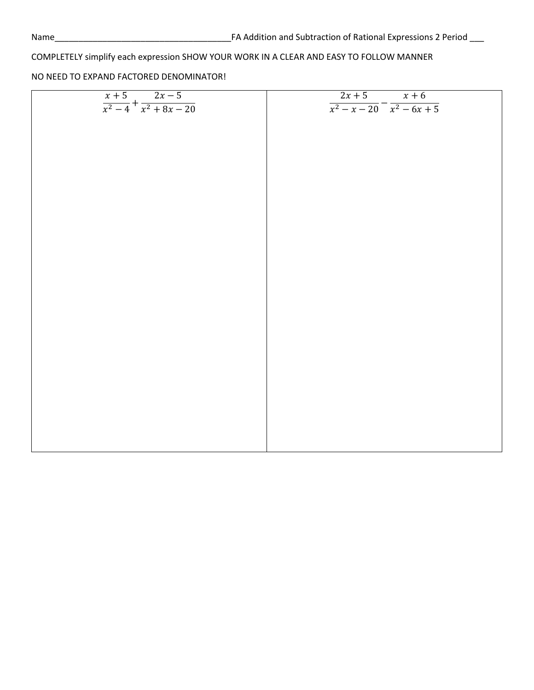| $\frac{x+5}{x^2-4} + \frac{2x-5}{x^2+8x-20}$ | $2x+5$ $x+6$                                |
|----------------------------------------------|---------------------------------------------|
|                                              | $\sqrt{x^2 - x - 20} - \sqrt{x^2 - 6x + 5}$ |
|                                              |                                             |
|                                              |                                             |
|                                              |                                             |
|                                              |                                             |
|                                              |                                             |
|                                              |                                             |
|                                              |                                             |
|                                              |                                             |
|                                              |                                             |
|                                              |                                             |
|                                              |                                             |
|                                              |                                             |
|                                              |                                             |
|                                              |                                             |
|                                              |                                             |
|                                              |                                             |
|                                              |                                             |
|                                              |                                             |
|                                              |                                             |
|                                              |                                             |
|                                              |                                             |
|                                              |                                             |
|                                              |                                             |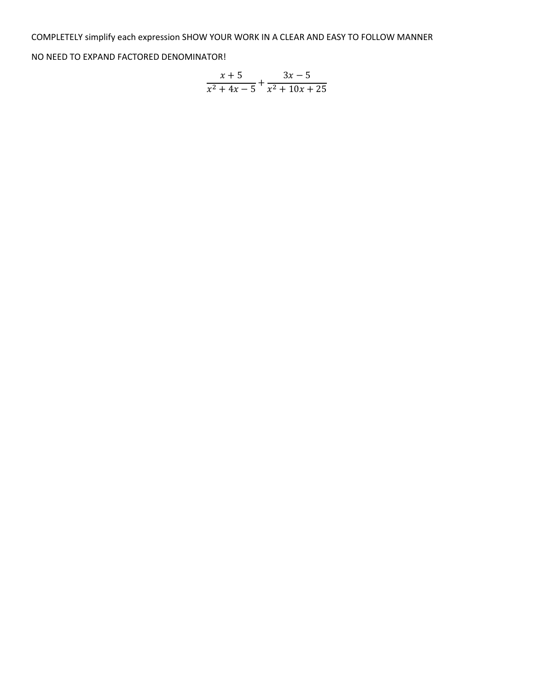$$
\frac{x+5}{x^2+4x-5} + \frac{3x-5}{x^2+10x+25}
$$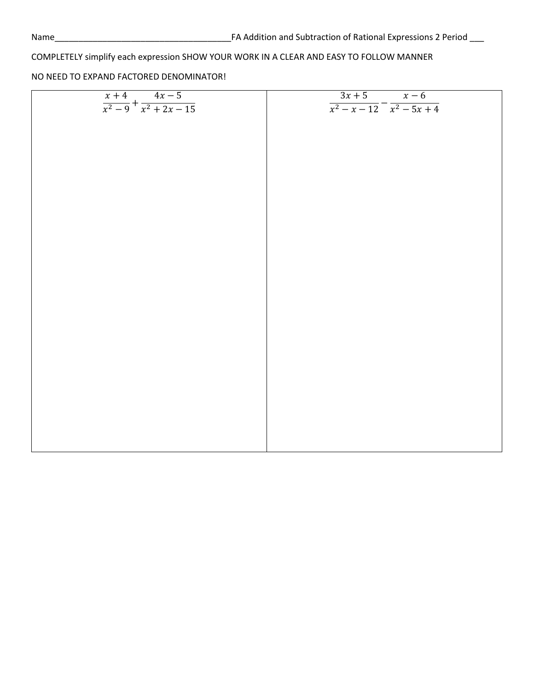| $\frac{x+4}{x^2-9} + \frac{4x-5}{x^2+2x-15}$ | $\frac{3x+5}{x-6}$<br>$\frac{x^2 - x - 12}{x^2 - 5x + 4}$ |
|----------------------------------------------|-----------------------------------------------------------|
|                                              |                                                           |
|                                              |                                                           |
|                                              |                                                           |
|                                              |                                                           |
|                                              |                                                           |
|                                              |                                                           |
|                                              |                                                           |
|                                              |                                                           |
|                                              |                                                           |
|                                              |                                                           |
|                                              |                                                           |
|                                              |                                                           |
|                                              |                                                           |
|                                              |                                                           |
|                                              |                                                           |
|                                              |                                                           |
|                                              |                                                           |
|                                              |                                                           |
|                                              |                                                           |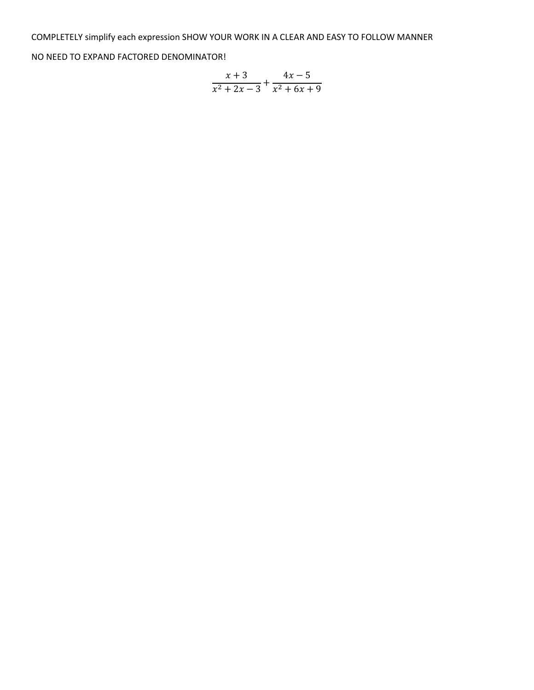$$
\frac{x+3}{x^2+2x-3} + \frac{4x-5}{x^2+6x+9}
$$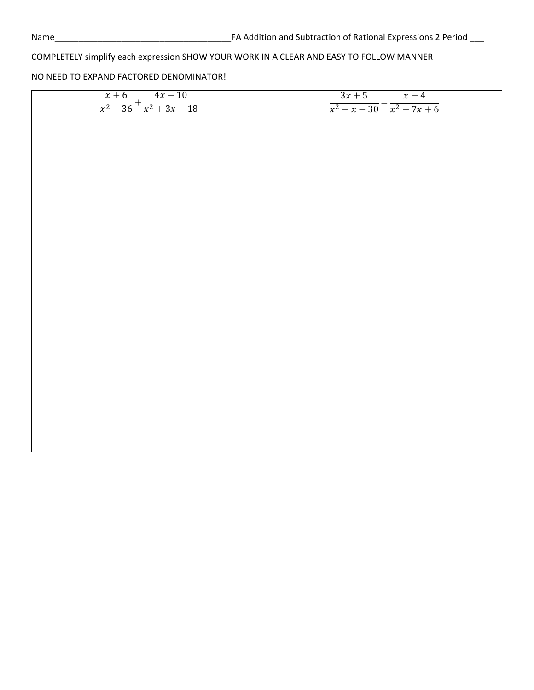| $\frac{x+6}{x^2-36} + \frac{4x-10}{x^2+3x-18}$ | $\frac{3x+5}{x-4}$                  |
|------------------------------------------------|-------------------------------------|
|                                                | $\frac{x^2 - x - 30}{x^2 - 7x + 6}$ |
|                                                |                                     |
|                                                |                                     |
|                                                |                                     |
|                                                |                                     |
|                                                |                                     |
|                                                |                                     |
|                                                |                                     |
|                                                |                                     |
|                                                |                                     |
|                                                |                                     |
|                                                |                                     |
|                                                |                                     |
|                                                |                                     |
|                                                |                                     |
|                                                |                                     |
|                                                |                                     |
|                                                |                                     |
|                                                |                                     |
|                                                |                                     |
|                                                |                                     |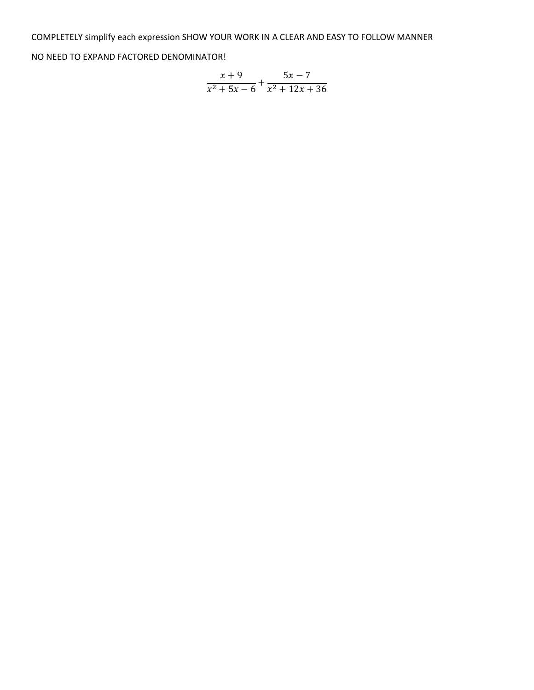$$
\frac{x+9}{x^2+5x-6} + \frac{5x-7}{x^2+12x+36}
$$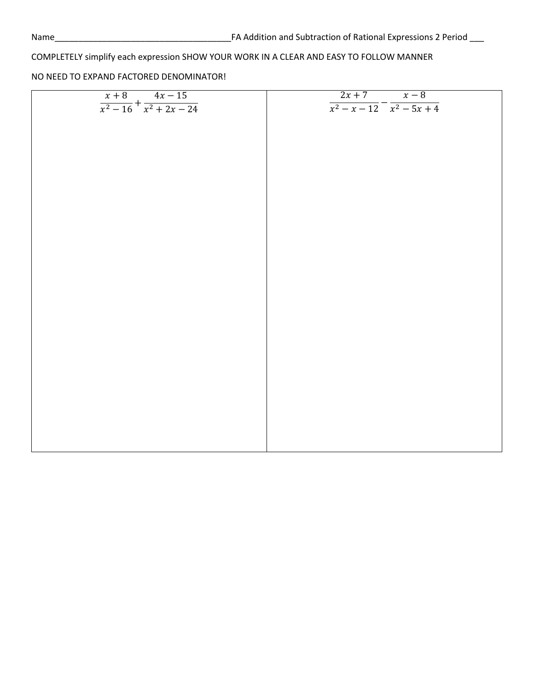| $\frac{x+8}{x^2-16} + \frac{4x-15}{x^2+2x-24}$ | $2x+7$ $x-8$<br>$\sqrt{x^2 - x - 12}$ - $\sqrt{x^2 - 5x + 4}$ |
|------------------------------------------------|---------------------------------------------------------------|
|                                                |                                                               |
|                                                |                                                               |
|                                                |                                                               |
|                                                |                                                               |
|                                                |                                                               |
|                                                |                                                               |
|                                                |                                                               |
|                                                |                                                               |
|                                                |                                                               |
|                                                |                                                               |
|                                                |                                                               |
|                                                |                                                               |
|                                                |                                                               |
|                                                |                                                               |
|                                                |                                                               |